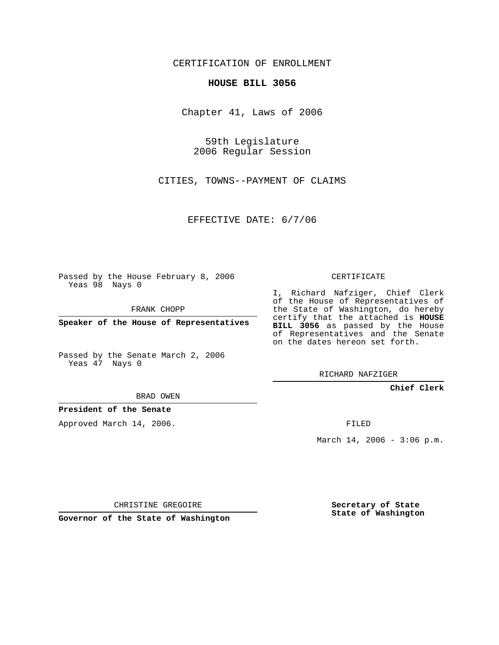CERTIFICATION OF ENROLLMENT

### **HOUSE BILL 3056**

Chapter 41, Laws of 2006

59th Legislature 2006 Regular Session

CITIES, TOWNS--PAYMENT OF CLAIMS

EFFECTIVE DATE: 6/7/06

Passed by the House February 8, 2006 Yeas 98 Nays 0

FRANK CHOPP

**Speaker of the House of Representatives**

Passed by the Senate March 2, 2006 Yeas 47 Nays 0

RICHARD NAFZIGER

**Chief Clerk**

BRAD OWEN

**President of the Senate**

Approved March 14, 2006.

FILED

March 14, 2006 - 3:06 p.m.

CHRISTINE GREGOIRE

**Governor of the State of Washington**

**Secretary of State State of Washington**

# CERTIFICATE

I, Richard Nafziger, Chief Clerk of the House of Representatives of the State of Washington, do hereby certify that the attached is **HOUSE BILL 3056** as passed by the House of Representatives and the Senate on the dates hereon set forth.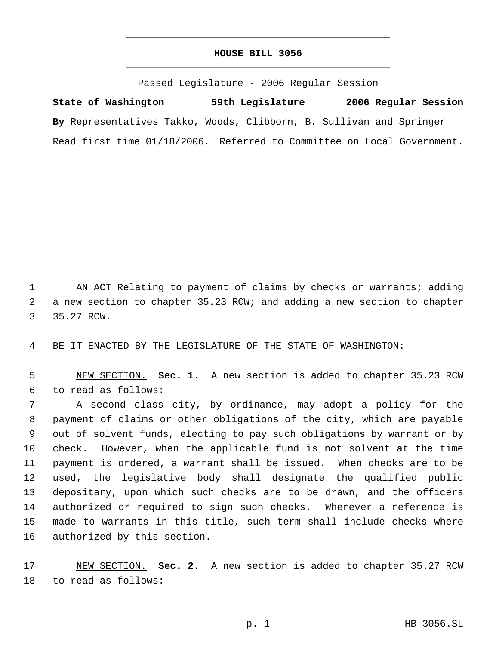# **HOUSE BILL 3056** \_\_\_\_\_\_\_\_\_\_\_\_\_\_\_\_\_\_\_\_\_\_\_\_\_\_\_\_\_\_\_\_\_\_\_\_\_\_\_\_\_\_\_\_\_

\_\_\_\_\_\_\_\_\_\_\_\_\_\_\_\_\_\_\_\_\_\_\_\_\_\_\_\_\_\_\_\_\_\_\_\_\_\_\_\_\_\_\_\_\_

Passed Legislature - 2006 Regular Session

**State of Washington 59th Legislature 2006 Regular Session By** Representatives Takko, Woods, Clibborn, B. Sullivan and Springer Read first time 01/18/2006. Referred to Committee on Local Government.

 AN ACT Relating to payment of claims by checks or warrants; adding a new section to chapter 35.23 RCW; and adding a new section to chapter 35.27 RCW.

BE IT ENACTED BY THE LEGISLATURE OF THE STATE OF WASHINGTON:

 NEW SECTION. **Sec. 1.** A new section is added to chapter 35.23 RCW to read as follows:

 A second class city, by ordinance, may adopt a policy for the payment of claims or other obligations of the city, which are payable out of solvent funds, electing to pay such obligations by warrant or by check. However, when the applicable fund is not solvent at the time payment is ordered, a warrant shall be issued. When checks are to be used, the legislative body shall designate the qualified public depositary, upon which such checks are to be drawn, and the officers authorized or required to sign such checks. Wherever a reference is made to warrants in this title, such term shall include checks where authorized by this section.

 NEW SECTION. **Sec. 2.** A new section is added to chapter 35.27 RCW to read as follows: